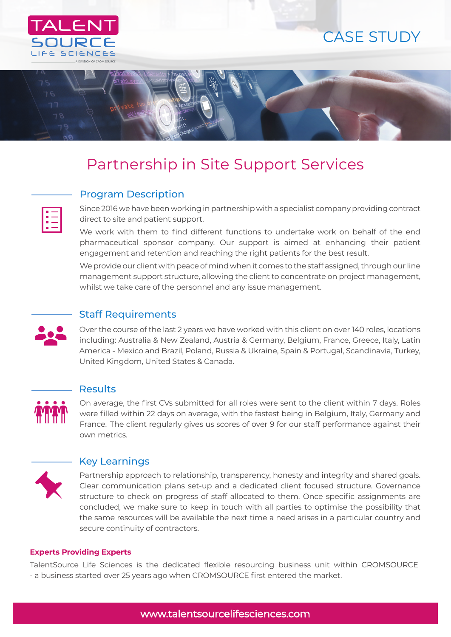

# CASE STUDY



# Partnership in Site Support Services

## Program Description

Since 2016 we have been working in partnership with a specialist company providing contract direct to site and patient support.

We work with them to find different functions to undertake work on behalf of the end pharmaceutical sponsor company. Our support is aimed at enhancing their patient engagement and retention and reaching the right patients for the best result.

We provide our client with peace of mind when it comes to the staff assigned, through our line management support structure, allowing the client to concentrate on project management, whilst we take care of the personnel and any issue management.

# Staff Requirements

Over the course of the last 2 years we have worked with this client on over 140 roles, locations including: Australia & New Zealand, Austria & Germany, Belgium, France, Greece, Italy, Latin America - Mexico and Brazil, Poland, Russia & Ukraine, Spain & Portugal, Scandinavia, Turkey, United Kingdom, United States & Canada.



ĮΞ

### Results

On average, the first CVs submitted for all roles were sent to the client within 7 days. Roles were filled within 22 days on average, with the fastest being in Belgium, Italy, Germany and France. The client regularly gives us scores of over 9 for our staff performance against their own metrics.



### Key Learnings

Partnership approach to relationship, transparency, honesty and integrity and shared goals. Clear communication plans set-up and a dedicated client focused structure. Governance structure to check on progress of staff allocated to them. Once specific assignments are concluded, we make sure to keep in touch with all parties to optimise the possibility that the same resources will be available the next time a need arises in a particular country and secure continuity of contractors.

#### **Experts Providing Experts**

TalentSource Life Sciences is the dedicated flexible resourcing business unit within CROMSOURCE - a business started over 25 years ago when CROMSOURCE first entered the market.